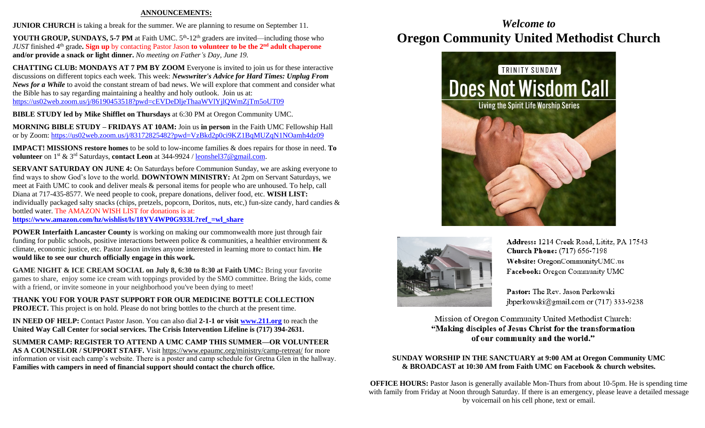#### **ANNOUNCEMENTS:**

**JUNIOR CHURCH** is taking a break for the summer. We are planning to resume on September 11.

**YOUTH GROUP, SUNDAYS, 5-7 PM** at Faith UMC.  $5<sup>th</sup>$ -12<sup>th</sup> graders are invited—including those who *JUST* finished 4<sup>th</sup> grade. Sign up by contacting Pastor Jason to volunteer to be the 2<sup>nd</sup> adult chaperone **and/or provide a snack or light dinner.** *No meeting on Father's Day, June 19.*

**CHATTING CLUB: MONDAYS AT 7 PM BY ZOOM** Everyone is invited to join us for these interactive discussions on different topics each week. This week: *Newswriter's Advice for Hard Times: Unplug From News for a While* to avoid the constant stream of bad news. We will explore that comment and consider what the Bible has to say regarding maintaining a healthy and holy outlook. Join us at: <https://us02web.zoom.us/j/86190453518?pwd=cEVDeDljeThaaWVlYjlQWmZjTm5oUT09>

**BIBLE STUDY led by Mike Shifflet on Thursdays** at 6:30 PM at Oregon Community UMC.

**MORNING BIBLE STUDY – FRIDAYS AT 10AM:** Join us **in person** in the Faith UMC Fellowship Hall or by Zoom:<https://us02web.zoom.us/j/83172825482?pwd=VzBkd2p0ci9KZ1BqMUZqN1NOamh4dz09>

**IMPACT! MISSIONS restore homes** to be sold to low-income families & does repairs for those in need. **To volunteer** on 1st & 3rd Saturdays, **contact Leon** at 344-9924 / [leonshel37@gmail.com.](about:blank)

**SERVANT SATURDAY ON JUNE 4:** On Saturdays before Communion Sunday, we are asking everyone to find ways to show God's love to the world. **DOWNTOWN MINISTRY:** At 2pm on Servant Saturdays, we meet at Faith UMC to cook and deliver meals & personal items for people who are unhoused. To help, call Diana at 717-435-8577. We need people to cook, prepare donations, deliver food, etc. **WISH LIST:**  individually packaged salty snacks (chips, pretzels, popcorn, Doritos, nuts, etc,) fun-size candy, hard candies & bottled water. The AMAZON WISH LIST for donations is at:

**[https://www.amazon.com/hz/wishlist/ls/18YV4WP0G933L?ref\\_=wl\\_share](https://www.amazon.com/hz/wishlist/ls/18YV4WP0G933L?ref_=wl_share)**

**POWER Interfaith Lancaster County** is working on making our commonwealth more just through fair funding for public schools, positive interactions between police & communities, a healthier environment  $\&$ climate, economic justice, etc. Pastor Jason invites anyone interested in learning more to contact him. **He would like to see our church officially engage in this work.**

**GAME NIGHT & ICE CREAM SOCIAL on July 8, 6:30 to 8:30 at Faith UMC:** Bring your favorite games to share, enjoy some ice cream with toppings provided by the SMO committee. Bring the kids, come with a friend, or invite someone in your neighborhood you've been dying to meet!

**THANK YOU FOR YOUR PAST SUPPORT FOR OUR MEDICINE BOTTLE COLLECTION PROJECT.** This project is on hold. Please do not bring bottles to the church at the present time.

**IN NEED OF HELP:** Contact Pastor Jason. You can also dial **2-1-1 or visit [www.211.org](http://www.211.org/)** to reach the **United Way Call Center** for **social services. The Crisis Intervention Lifeline is (717) 394-2631.**

**SUMMER CAMP: REGISTER TO ATTEND A UMC CAMP THIS SUMMER—OR VOLUNTEER AS A COUNSELOR / SUPPORT STAFF.** Visit<https://www.epaumc.org/ministry/camp-retreat/> for more information or visit each camp's website. There is a poster and camp schedule for Gretna Glen in the hallway. **Families with campers in need of financial support should contact the church office.**

# *Welcome to* **Oregon Community United Methodist Church**





Address: 1214 Creek Road, Lititz, PA 17543 Church Phone: (717) 656-7198 Website: OregonCommunityUMC.us Facebook: Oregon Community UMC

Pastor: The Rev. Jason Perkowski jbperkowski@gmail.com or  $(717)$  333-9238

Mission of Oregon Community United Methodist Church: "Making disciples of Jesus Christ for the transformation of our community and the world."

#### **SUNDAY WORSHIP IN THE SANCTUARY at 9:00 AM at Oregon Community UMC & BROADCAST at 10:30 AM from Faith UMC on Facebook & church websites.**

**OFFICE HOURS:** Pastor Jason is generally available Mon-Thurs from about 10-5pm. He is spending time with family from Friday at Noon through Saturday. If there is an emergency, please leave a detailed message by voicemail on his cell phone, text or email.